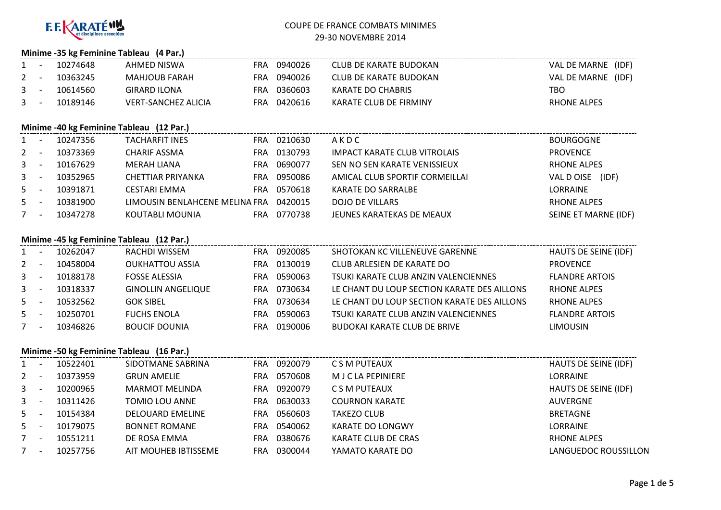

### **Minime -35 kg Feminine Tableau (4 Par.)**

| $1 -$ | 10274648 | AHMED NISWA                | FRA | 0940026     | CLUB DE KARATE BUDOKAN | VAL DE MARNE (IDF) |  |
|-------|----------|----------------------------|-----|-------------|------------------------|--------------------|--|
| $2 -$ | 10363245 | MAHJOUB FARAH              |     | FRA 0940026 | CLUB DE KARATE BUDOKAN | VAL DE MARNE (IDF) |  |
| $3 -$ | 10614560 | GIRARD ILONA               | FRA | 0360603     | KARATE DO CHABRIS      | TBO                |  |
| $3 -$ | 10189146 | <b>VERT-SANCHEZ ALICIA</b> |     | FRA 0420616 | KARATE CLUB DE FIRMINY | <b>RHONE ALPES</b> |  |

#### **Minime -40 kg Feminine Tableau (12 Par.)**

|             |          | 10247356 | <b>TACHARFIT INES</b>          | FRA | 0210630 | AKDC                           | <b>BOURGOGNE</b>     |
|-------------|----------|----------|--------------------------------|-----|---------|--------------------------------|----------------------|
| $2 -$       |          | 10373369 | CHARIF ASSMA                   | FRA | 0130793 | IMPACT KARATE CLUB VITROLAIS   | <b>PROVENCE</b>      |
| $3 -$       |          | 10167629 | MERAH LIANA                    | FRA | 0690077 | SEN NO SEN KARATE VENISSIEUX   | RHONE ALPES          |
| $3^{\circ}$ |          | 10352965 | CHETTIAR PRIYANKA              | FRA | 0950086 | AMICAL CLUB SPORTIF CORMEILLAI | VAL D OISE<br>(IDF)  |
| $5 -$       |          | 10391871 | <b>CESTARI EMMA</b>            | FRA | 0570618 | <b>KARATE DO SARRALBE</b>      | <b>LORRAINE</b>      |
| $5 -$       |          | 10381900 | LIMOUSIN BENLAHCENE MELINA FRA |     | 0420015 | <b>DOJO DE VILLARS</b>         | <b>RHONE ALPES</b>   |
|             | <b>.</b> | 10347278 | KOUTABLI MOUNIA                | FRA | 0770738 | JEUNES KARATEKAS DE MEAUX      | SEINE ET MARNE (IDF) |

### **Minime -45 kg Feminine Tableau (12 Par.)**

|             | - -                      | 10262047 | RACHDI WISSEM             | <b>FRA</b> | 0920085 | SHOTOKAN KC VILLENEUVE GARENNE              | HAUTS DE SEINE (IDF)  |
|-------------|--------------------------|----------|---------------------------|------------|---------|---------------------------------------------|-----------------------|
| $2 -$       |                          | 10458004 | <b>OUKHATTOU ASSIA</b>    | FRA        | 0130019 | CLUB ARLESIEN DE KARATE DO                  | <b>PROVENCE</b>       |
| $3^{\circ}$ |                          | 10188178 | <b>FOSSE ALESSIA</b>      | FRA        | 0590063 | TSUKI KARATE CLUB ANZIN VALENCIENNES        | <b>FLANDRE ARTOIS</b> |
| $3^{\circ}$ | $\overline{\phantom{a}}$ | 10318337 | <b>GINOLLIN ANGELIQUE</b> | FRA        | 0730634 | LE CHANT DU LOUP SECTION KARATE DES AILLONS | <b>RHONF ALPES</b>    |
| $5 -$       |                          | 10532562 | <b>GOK SIBEL</b>          | FRA        | 0730634 | LE CHANT DU LOUP SECTION KARATE DES AILLONS | <b>RHONF ALPES</b>    |
| 5           |                          | 10250701 | <b>FUCHS ENOLA</b>        | FRA        | 0590063 | TSUKI KARATE CLUB ANZIN VALENCIENNES        | <b>FLANDRE ARTOIS</b> |
|             | $\overline{\phantom{a}}$ | 10346826 | <b>BOUCIF DOUNIA</b>      | FRA        | 0190006 | <b>BUDOKAI KARATE CLUB DE BRIVE</b>         | <b>LIMOUSIN</b>       |

|                | Minime -50 kg Feminine Tableau (16 Par.) |          |                         |            |         |                       |                      |  |  |  |  |  |  |
|----------------|------------------------------------------|----------|-------------------------|------------|---------|-----------------------|----------------------|--|--|--|--|--|--|
| $1 \quad$      |                                          | 10522401 | SIDOTMANE SABRINA       | <b>FRA</b> | 0920079 | C S M PUTEAUX         | HAUTS DE SEINE (IDF) |  |  |  |  |  |  |
| $2^{\circ}$    |                                          | 10373959 | <b>GRUN AMELIE</b>      | FRA        | 0570608 | M J C LA PEPINIERE    | <b>LORRAINE</b>      |  |  |  |  |  |  |
| 3 <sup>1</sup> |                                          | 10200965 | <b>MARMOT MELINDA</b>   | <b>FRA</b> | 0920079 | C S M PUTEAUX         | HAUTS DE SEINE (IDF) |  |  |  |  |  |  |
| $\mathbf{3}$   |                                          | 10311426 | TOMIO LOU ANNE          | FRA        | 0630033 | <b>COURNON KARATE</b> | AUVERGNE             |  |  |  |  |  |  |
| 5              |                                          | 10154384 | <b>DELOUARD EMELINE</b> | FRA        | 0560603 | TAKEZO CLUB           | <b>BRETAGNE</b>      |  |  |  |  |  |  |
| 5              |                                          | 10179075 | <b>BONNET ROMANE</b>    | <b>FRA</b> | 0540062 | KARATE DO LONGWY      | LORRAINE             |  |  |  |  |  |  |
| 7              |                                          | 10551211 | DE ROSA EMMA            | FRA        | 0380676 | KARATE CLUB DE CRAS   | <b>RHONE ALPES</b>   |  |  |  |  |  |  |
| 7              |                                          | 10257756 | AIT MOUHEB IBTISSEME    | FRA        | 0300044 | YAMATO KARATE DO      | LANGUEDOC ROUSSILLON |  |  |  |  |  |  |
|                |                                          |          |                         |            |         |                       |                      |  |  |  |  |  |  |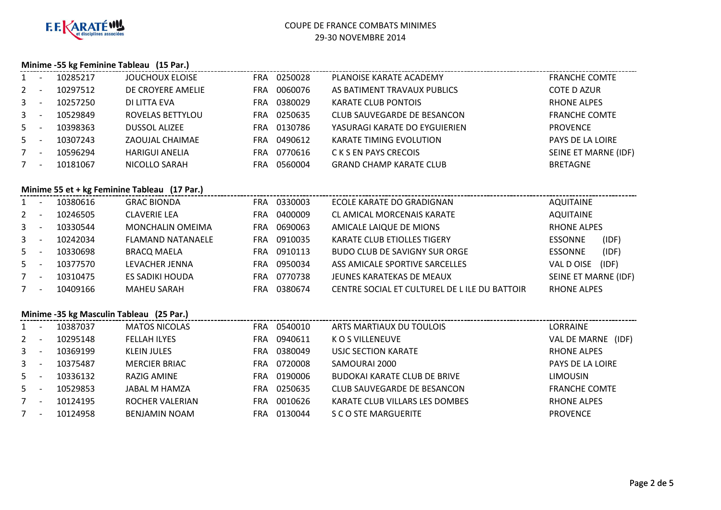

### **Minime -55 kg Feminine Tableau (15 Par.)**

|             | $1 -$   | 10285217 | <b>JOUCHOUX ELOISE</b>                       | FRA 0250028 | PLANOISE KARATE ACADEMY                      | <b>FRANCHE COMTE</b>    |
|-------------|---------|----------|----------------------------------------------|-------------|----------------------------------------------|-------------------------|
| $2^{\circ}$ | $\sim$  | 10297512 | DE CROYERE AMELIE                            | FRA 0060076 | AS BATIMENT TRAVAUX PUBLICS                  | <b>COTE D AZUR</b>      |
|             | $3 - 1$ | 10257250 | DI LITTA EVA                                 | FRA 0380029 | <b>KARATE CLUB PONTOIS</b>                   | <b>RHONE ALPES</b>      |
|             | $3 - 1$ | 10529849 | ROVELAS BETTYLOU                             | FRA 0250635 | <b>CLUB SAUVEGARDE DE BESANCON</b>           | <b>FRANCHE COMTE</b>    |
|             | $5 -$   | 10398363 | <b>DUSSOL ALIZEE</b>                         | FRA 0130786 | YASURAGI KARATE DO EYGUIERIEN                | <b>PROVENCE</b>         |
|             | $5 - 5$ | 10307243 | ZAOUJAL CHAIMAE                              | FRA 0490612 | <b>KARATE TIMING EVOLUTION</b>               | PAYS DE LA LOIRE        |
| $7 -$       |         | 10596294 | <b>HARIGUI ANELIA</b>                        | FRA 0770616 | C K S EN PAYS CRECOIS                        | SEINE ET MARNE (IDF)    |
| $7 -$       |         | 10181067 | NICOLLO SARAH                                | FRA 0560004 | <b>GRAND CHAMP KARATE CLUB</b>               | <b>BRETAGNE</b>         |
|             |         |          |                                              |             |                                              |                         |
|             |         |          | Minime 55 et + kg Feminine Tableau (17 Par.) |             |                                              |                         |
|             | $1 -$   | 10380616 | <b>GRAC BIONDA</b>                           | FRA 0330003 | ECOLE KARATE DO GRADIGNAN                    | <b>AQUITAINE</b>        |
|             | $2 -$   | 10246505 | <b>CLAVERIE LEA</b>                          | FRA 0400009 | CL AMICAL MORCENAIS KARATE                   | AQUITAINE               |
|             | $3 - 1$ | 10330544 | <b>MONCHALIN OMEIMA</b>                      | FRA 0690063 | AMICALE LAIQUE DE MIONS                      | <b>RHONE ALPES</b>      |
|             | $3 - -$ | 10242034 | <b>FLAMAND NATANAELE</b>                     | FRA 0910035 | KARATE CLUB ETIOLLES TIGERY                  | (IDF)<br><b>ESSONNE</b> |
|             | $5 - 5$ | 10330698 | <b>BRACQ MAELA</b>                           | FRA 0910113 | <b>BUDO CLUB DE SAVIGNY SUR ORGE</b>         | (IDF)<br><b>ESSONNE</b> |
|             | $5 -$   | 10377570 | LEVACHER JENNA                               | FRA 0950034 | ASS AMICALE SPORTIVE SARCELLES               | VAL D OISE (IDF)        |
| $7 -$       |         | 10310475 | ES SADIKI HOUDA                              | FRA 0770738 | JEUNES KARATEKAS DE MEAUX                    | SEINE ET MARNE (IDF)    |
| $7 -$       |         | 10409166 | <b>MAHEU SARAH</b>                           | FRA 0380674 | CENTRE SOCIAL ET CULTUREL DE LILE DU BATTOIR | <b>RHONE ALPES</b>      |
|             |         |          |                                              |             |                                              |                         |
|             |         |          | Minime -35 kg Masculin Tableau (25 Par.)     |             |                                              |                         |
|             | $1 -$   | 10387037 | <b>MATOS NICOLAS</b>                         | FRA 0540010 | ARTS MARTIAUX DU TOULOIS                     | LORRAINE                |
|             | $2 -$   | 10295148 | <b>FELLAH ILYES</b>                          | FRA 0940611 | K O S VILLENEUVE                             | VAL DE MARNE (IDF)      |
|             | $3 - 1$ | 10369199 | <b>KLEIN JULES</b>                           | FRA 0380049 | USJC SECTION KARATE                          | <b>RHONE ALPES</b>      |

| 3 -   |                          | 10369199 | KLEIN JULES          | FRA | 0380049 | USJC SECTION KARATE            | RHONE ALPES             |
|-------|--------------------------|----------|----------------------|-----|---------|--------------------------------|-------------------------|
| $3 -$ |                          | 10375487 | <b>MERCIER BRIAC</b> | FRA | 0720008 | SAMOURAI 2000                  | <b>PAYS DE LA LOIRE</b> |
| $5 -$ |                          | 10336132 | RAZIG AMINE          | FRA | 0190006 | BUDOKAI KARATE CLUB DE BRIVE   | <b>LIMOUSIN</b>         |
| 5 -   |                          | 10529853 | JABAL M HAMZA        | FRA | 0250635 | CLUB SAUVEGARDE DE BESANCON    | <b>FRANCHE COMTE</b>    |
| 7     | $\overline{\phantom{0}}$ | 10124195 | ROCHER VALERIAN      | FRA | 0010626 | KARATE CLUB VILLARS LES DOMBES | RHONE ALPES             |
| 7     | $\overline{\phantom{0}}$ | 10124958 | BENJAMIN NOAM        | FRA | 0130044 | S C O STE MARGUERITE           | <b>PROVENCE</b>         |
|       |                          |          |                      |     |         |                                |                         |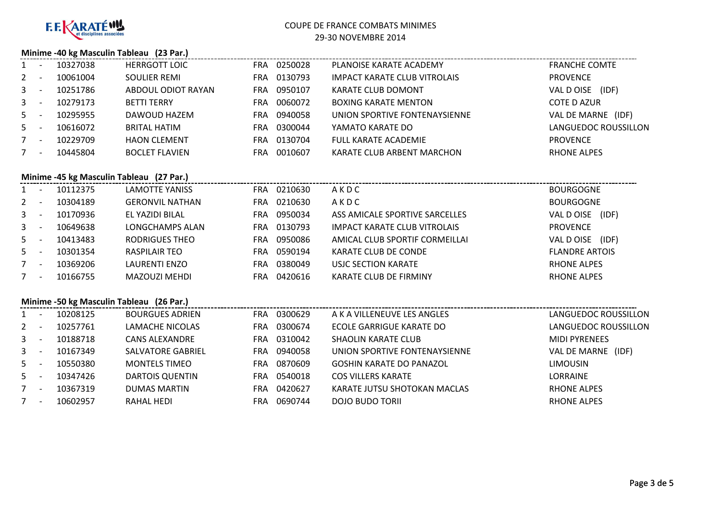

# COUPE DE FRANCE COMBATS MINIMES

#### 29-30 NOVEMBRE 2014

### **Minime -40 kg Masculin Tableau (23 Par.)**

|              | 10327038 | <b>HERRGOTT LOIC</b>  | <b>FRA</b> | 0250028 | PLANOISE KARATE ACADEMY             | <b>FRANCHE COMTE</b>  |
|--------------|----------|-----------------------|------------|---------|-------------------------------------|-----------------------|
| $\mathbf{2}$ | 10061004 | <b>SOULIER REMI</b>   | <b>FRA</b> | 0130793 | <b>IMPACT KARATE CLUB VITROLAIS</b> | <b>PROVENCE</b>       |
| $\mathbf{3}$ | 10251786 | ABDOUL ODIOT RAYAN    | <b>FRA</b> | 0950107 | KARATE CLUB DOMONT                  | (IDF)<br>VAL D OISE   |
| $\mathbf{3}$ | 10279173 | <b>BETTI TERRY</b>    | FRA        | 0060072 | <b>BOXING KARATE MENTON</b>         | <b>COTE D AZUR</b>    |
| $5 -$        | 10295955 | DAWOUD HAZEM          | <b>FRA</b> | 0940058 | UNION SPORTIVE FONTENAYSIENNE       | VAL DE MARNE<br>(IDF) |
| 5            | 10616072 | <b>BRITAL HATIM</b>   | <b>FRA</b> | 0300044 | YAMATO KARATE DO                    | LANGUEDOC ROUSSILLON  |
|              | 10229709 | <b>HAON CLEMENT</b>   | <b>FRA</b> | 0130704 | <b>FULL KARATE ACADEMIE</b>         | <b>PROVENCE</b>       |
|              | 10445804 | <b>BOCLET FLAVIEN</b> | <b>FRA</b> | 0010607 | KARATE CLUB ARBENT MARCHON          | <b>RHONE ALPES</b>    |
|              |          |                       |            |         |                                     |                       |

# **Minime -45 kg Masculin Tableau (27 Par.)**

| $1 \quad$    |     | 10112375 | LAMOTTE YANISS         | FRA | 0210630 | AKDC                           | <b>BOURGOGNE</b>      |
|--------------|-----|----------|------------------------|-----|---------|--------------------------------|-----------------------|
| $2^{\circ}$  | - - | 10304189 | <b>GERONVIL NATHAN</b> | FRA | 0210630 | AKDC                           | <b>BOURGOGNE</b>      |
| $\mathbf{3}$ |     | 10170936 | EL YAZIDI BILAL        | FRA | 0950034 | ASS AMICALE SPORTIVE SARCELLES | VAL D OISE<br>(IDF)   |
| $3 -$        |     | 10649638 | LONGCHAMPS ALAN        | FRA | 0130793 | IMPACT KARATE CLUB VITROLAIS   | <b>PROVENCE</b>       |
| $5 -$        |     | 10413483 | RODRIGUES THEO         | FRA | 0950086 | AMICAL CLUB SPORTIF CORMEILLAI | (IDF)<br>VAL D OISE   |
| $5 -$        |     | 10301354 | RASPILAIR TEO          | FRA | 0590194 | KARATE CLUB DE CONDE           | <b>FLANDRE ARTOIS</b> |
|              | ٠.  | 10369206 | <b>LAURENTI ENZO</b>   | FRA | 0380049 | USJC SECTION KARATE            | <b>RHONE ALPES</b>    |
|              | ٠.  | 10166755 | MAZOUZI MEHDI          | FRA | 0420616 | KARATE CLUB DE FIRMINY         | <b>RHONE ALPES</b>    |

# **Minime -50 kg Masculin Tableau (26 Par.)**

|              | Minime -50 kg Masculin Tableau (26 Par.) |          |                          |            |         |                                 |                      |  |  |  |  |  |
|--------------|------------------------------------------|----------|--------------------------|------------|---------|---------------------------------|----------------------|--|--|--|--|--|
| $\mathbf{1}$ | $\overline{\phantom{a}}$                 | 10208125 | <b>BOURGUES ADRIEN</b>   | <b>FRA</b> | 0300629 | A K A VILLENEUVE LES ANGLES     | LANGUEDOC ROUSSILLON |  |  |  |  |  |
| 2            |                                          | 10257761 | LAMACHE NICOLAS          | FRA        | 0300674 | ECOLE GARRIGUE KARATE DO        | LANGUEDOC ROUSSILLON |  |  |  |  |  |
| $\mathbf{3}$ |                                          | 10188718 | <b>CANS ALEXANDRE</b>    | FRA.       | 0310042 | SHAOLIN KARATE CLUB             | <b>MIDI PYRENEES</b> |  |  |  |  |  |
| $\mathbf{3}$ |                                          | 10167349 | <b>SALVATORE GABRIEL</b> | FRA        | 0940058 | UNION SPORTIVE FONTENAYSIENNE   | VAL DE MARNE (IDF)   |  |  |  |  |  |
| $5 -$        |                                          | 10550380 | <b>MONTELS TIMEO</b>     | <b>FRA</b> | 0870609 | <b>GOSHIN KARATE DO PANAZOL</b> | limousin             |  |  |  |  |  |
| 5            |                                          | 10347426 | DARTOIS QUENTIN          | FRA        | 0540018 | <b>COS VILLERS KARATE</b>       | LORRAINE             |  |  |  |  |  |
| $7^{\circ}$  | $\overline{\phantom{a}}$                 | 10367319 | <b>DUMAS MARTIN</b>      | FRA        | 0420627 | KARATE JUTSU SHOTOKAN MACLAS    | <b>RHONE ALPES</b>   |  |  |  |  |  |
|              | $\overline{\phantom{a}}$                 | 10602957 | RAHAL HEDI               | FRA        | 0690744 | DOJO BUDO TORIL                 | <b>RHONE ALPES</b>   |  |  |  |  |  |
|              |                                          |          |                          |            |         |                                 |                      |  |  |  |  |  |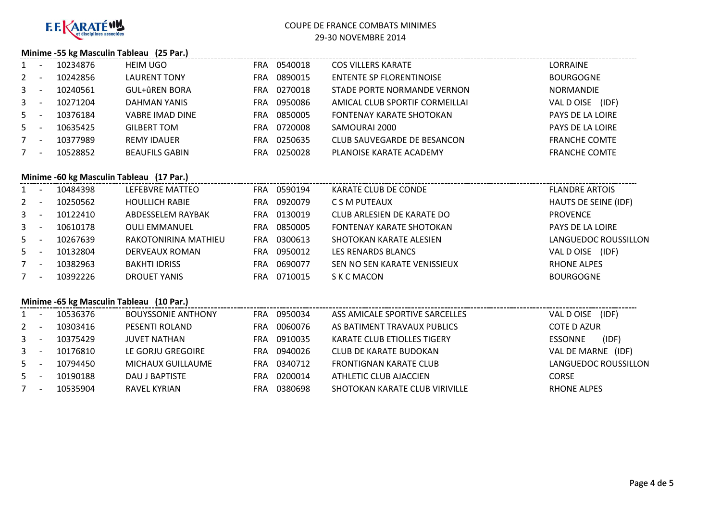

### **Minime -55 kg Masculin Tableau (25 Par.)**

| $\mathbf{1}$ | 10234876 | <b>HEIM UGO</b>        | FRA | 0540018 | <b>COS VILLERS KARATE</b>       | LORRAINE             |
|--------------|----------|------------------------|-----|---------|---------------------------------|----------------------|
| $2^{\circ}$  | 10242856 | <b>LAURENT TONY</b>    | FRA | 0890015 | ENTENTE SP FLORENTINOISE        | <b>BOURGOGNE</b>     |
| $\mathbf{3}$ | 10240561 | GUL+ûREN BORA          | FRA | 0270018 | STADE PORTE NORMANDE VERNON     | <b>NORMANDIE</b>     |
| $\mathbf{3}$ | 10271204 | DAHMAN YANIS           | FRA | 0950086 | AMICAL CLUB SPORTIF CORMEILLAI  | (IDF)<br>VAL D OISE  |
| $5 -$        | 10376184 | <b>VABRE IMAD DINE</b> | FRA | 0850005 | <b>FONTENAY KARATE SHOTOKAN</b> | PAYS DE LA LOIRE     |
| $5 -$        | 10635425 | <b>GILBERT TOM</b>     | FRA | 0720008 | SAMOURAI 2000                   | PAYS DE LA LOIRE     |
| $7^{\circ}$  | 10377989 | <b>REMY IDAUER</b>     | FRA | 0250635 | CLUB SAUVEGARDE DE BESANCON     | <b>FRANCHE COMTE</b> |
| 7            | 10528852 | <b>BEAUFILS GABIN</b>  | FRA | 0250028 | PLANOISE KARATE ACADEMY         | <b>FRANCHE COMTE</b> |

# **Minime -60 kg Masculin Tableau (17 Par.)**

|              | <b>INIMINE -OU RE IVIASCUMM TADIEAU</b> (17 Par.) |          |                       |            |         |                              |                       |  |  |  |  |  |
|--------------|---------------------------------------------------|----------|-----------------------|------------|---------|------------------------------|-----------------------|--|--|--|--|--|
| 1            |                                                   | 10484398 | LEFEBVRE MATTEO       | <b>FRA</b> | 0590194 | KARATE CLUB DE CONDE         | <b>FLANDRE ARTOIS</b> |  |  |  |  |  |
| $2 -$        |                                                   | 10250562 | <b>HOULLICH RABIE</b> | FRA        | 0920079 | C S M PUTEAUX                | HAUTS DE SEINE (IDF)  |  |  |  |  |  |
| $\mathbf{3}$ |                                                   | 10122410 | ABDESSELEM RAYBAK     | FRA        | 0130019 | CLUB ARLESIEN DE KARATE DO   | <b>PROVENCE</b>       |  |  |  |  |  |
| $\mathbf{3}$ |                                                   | 10610178 | <b>OULI EMMANUEL</b>  | <b>FRA</b> | 0850005 | FONTENAY KARATE SHOTOKAN     | PAYS DE LA LOIRE      |  |  |  |  |  |
| $5 -$        |                                                   | 10267639 | RAKOTONIRINA MATHIEU  | <b>FRA</b> | 0300613 | SHOTOKAN KARATE ALESIEN      | LANGUEDOC ROUSSILLON  |  |  |  |  |  |
| $5 -$        |                                                   | 10132804 | DERVEAUX ROMAN        | <b>FRA</b> | 0950012 | LES RENARDS BLANCS           | VAL D OISE (IDF)      |  |  |  |  |  |
|              |                                                   | 10382963 | <b>BAKHTI IDRISS</b>  | <b>FRA</b> | 0690077 | SEN NO SEN KARATE VENISSIEUX | <b>RHONE ALPES</b>    |  |  |  |  |  |
| $7^{\circ}$  |                                                   | 10392226 | DROUET YANIS          | FRA.       | 0710015 | S K C MACON                  | <b>BOURGOGNE</b>      |  |  |  |  |  |
|              |                                                   |          |                       |            |         |                              |                       |  |  |  |  |  |

# **Minime -65 kg Masculin Tableau (10 Par.)**

|                | Minime -65 kg Masculin Tableau (10 Par.) |          |                           |            |         |                                    |                         |  |  |  |  |  |
|----------------|------------------------------------------|----------|---------------------------|------------|---------|------------------------------------|-------------------------|--|--|--|--|--|
| $1 \quad$      |                                          | 10536376 | <b>BOUYSSONIE ANTHONY</b> | <b>FRA</b> | 0950034 | ASS AMICALE SPORTIVE SARCELLES     | (IDF)<br>VAL D OISE     |  |  |  |  |  |
| $2^{\circ}$    |                                          | 10303416 | PESENTI ROLAND            | FRA        | 0060076 | AS BATIMENT TRAVAUX PUBLICS        | <b>COTE D AZUR</b>      |  |  |  |  |  |
| $3 -$          |                                          | 10375429 | <b>JUVET NATHAN</b>       | <b>FRA</b> | 0910035 | <b>KARATE CLUB ETIOLLES TIGERY</b> | (IDF)<br><b>ESSONNE</b> |  |  |  |  |  |
| 3 <sup>1</sup> |                                          | 10176810 | LE GORJU GREGOIRE         | <b>FRA</b> | 0940026 | CLUB DE KARATE BUDOKAN             | VAL DE MARNE (IDF)      |  |  |  |  |  |
| $5 -$          |                                          | 10794450 | MICHAUX GUILLAUME         | FRA        | 0340712 | <b>FRONTIGNAN KARATE CLUB</b>      | LANGUEDOC ROUSSILLON    |  |  |  |  |  |
| $5 -$          |                                          | 10190188 | DAU J BAPTISTE            | FRA        | 0200014 | ATHLETIC CLUB AJACCIEN             | <b>CORSE</b>            |  |  |  |  |  |
|                |                                          | 10535904 | <b>RAVEL KYRIAN</b>       | FRA        | 0380698 | SHOTOKAN KARATE CLUB VIRIVILLE     | <b>RHONE ALPES</b>      |  |  |  |  |  |
|                |                                          |          |                           |            |         |                                    |                         |  |  |  |  |  |